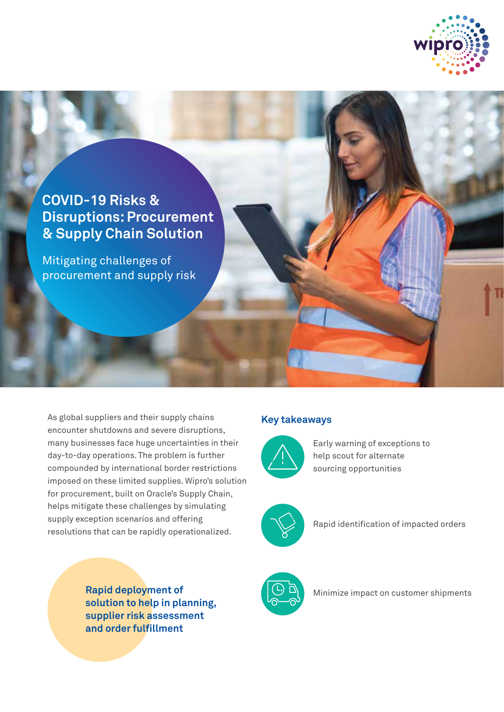

## **COVID-19 Risks & Disruptions: Procurement & Supply Chain Solution**

Mitigating challenges of procurement and supply risk

As global suppliers and their supply chains encounter shutdowns and severe disruptions, many businesses face huge uncertainties in their day-to-day operations. The problem is further compounded by international border restrictions imposed on these limited supplies. Wipro's solution for procurement, built on Oracle's Supply Chain, helps mitigate these challenges by simulating supply exception scenarios and offering resolutions that can be rapidly operationalized.

> **Rapid deployment of solution to help in planning, supplier risk assessment and order fulfillment**

## **Key takeaways**



Early warning of exceptions to help scout for alternate sourcing opportunities



Rapid identification of impacted orders



Minimize impact on customer shipments